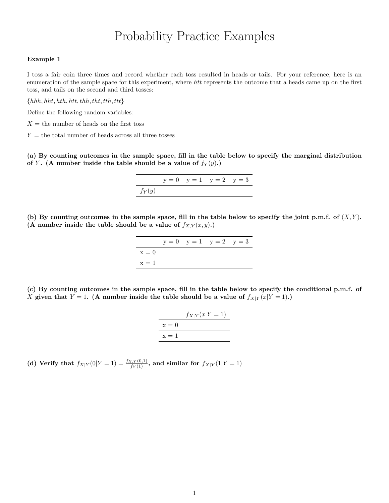# Probability Practice Examples

#### **Example 1**

I toss a fair coin three times and record whether each toss resulted in heads or tails. For your reference, here is an enumeration of the sample space for this experiment, where *htt* represents the outcome that a heads came up on the first toss, and tails on the second and third tosses:

{*hhh, hht, hth, htt, thh, tht, tth, ttt*}

Define the following random variables:

 $X =$  the number of heads on the first toss

 $Y =$  the total number of heads across all three tosses

**(a) By counting outcomes in the sample space, fill in the table below to specify the marginal distribution of** *Y***.** (A number inside the table should be a value of  $f_Y(y)$ **.**)

$$
y = 0 \quad y = 1 \quad y = 2 \quad y = 3
$$
  

$$
f_Y(y)
$$

(b) By counting outcomes in the sample space, fill in the table below to specify the joint p.m.f. of  $(X, Y)$ **.** (A number inside the table should be a value of  $f_{X,Y}(x, y)$ .)

|         |  | $y = 0$ $y = 1$ $y = 2$ $y = 3$ |  |
|---------|--|---------------------------------|--|
| $x = 0$ |  |                                 |  |
| $x = 1$ |  |                                 |  |

**(c) By counting outcomes in the sample space, fill in the table below to specify the conditional p.m.f. of** *X* given that  $Y = 1$ . (A number inside the table should be a value of  $f_{X|Y}(x|Y = 1)$ .)

|         | $f_{X Y}(x Y = 1)$ |
|---------|--------------------|
| $x=0$   |                    |
| $x = 1$ |                    |

(d) Verify that  $f_{X|Y}(0|Y=1) = \frac{f_{X,Y}(0,1)}{f_Y(1)}$ , and similar for  $f_{X|Y}(1|Y=1)$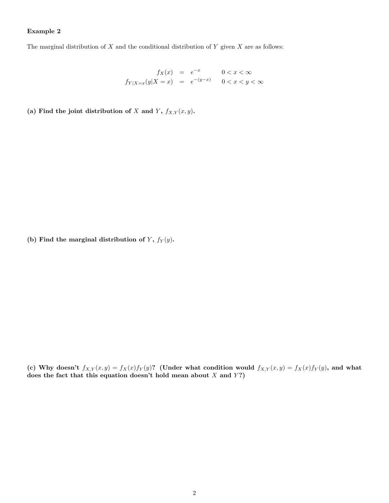## **Example 2**

The marginal distribution of *X* and the conditional distribution of *Y* given *X* are as follows:

$$
f_X(x) = e^{-x} \qquad 0 < x < \infty
$$
\n
$$
f_{Y|X=x}(y|X=x) = e^{-(y-x)} \qquad 0 < x < y < \infty
$$

(a) Find the joint distribution of *X* and *Y*,  $f_{X,Y}(x, y)$ .

(b) Find the marginal distribution of  $Y$ ,  $f_Y(y)$ .

(c) Why doesn't  $f_{X,Y}(x,y) = f_X(x)f_Y(y)$ ? (Under what condition would  $f_{X,Y}(x,y) = f_X(x)f_Y(y)$ , and what does the fact that this equation doesn't hold mean about *X* and *Y*?)